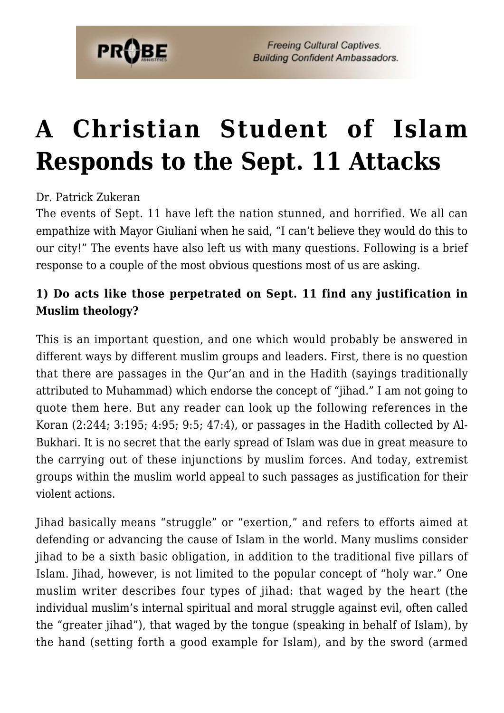

## **[A Christian Student of Islam](https://probe.org/a-christian-student-of-islam-responds-to-the-sept-11-attacks/) [Responds to the Sept. 11 Attacks](https://probe.org/a-christian-student-of-islam-responds-to-the-sept-11-attacks/)**

## Dr. Patrick Zukeran

The events of Sept. 11 have left the nation stunned, and horrified. We all can empathize with Mayor Giuliani when he said, "I can't believe they would do this to our city!" The events have also left us with many questions. Following is a brief response to a couple of the most obvious questions most of us are asking.

## **1) Do acts like those perpetrated on Sept. 11 find any justification in Muslim theology?**

This is an important question, and one which would probably be answered in different ways by different muslim groups and leaders. First, there is no question that there are passages in the Qur'an and in the Hadith (sayings traditionally attributed to Muhammad) which endorse the concept of "jihad." I am not going to quote them here. But any reader can look up the following references in the Koran (2:244; 3:195; 4:95; 9:5; 47:4), or passages in the Hadith collected by Al-Bukhari. It is no secret that the early spread of Islam was due in great measure to the carrying out of these injunctions by muslim forces. And today, extremist groups within the muslim world appeal to such passages as justification for their violent actions.

Jihad basically means "struggle" or "exertion," and refers to efforts aimed at defending or advancing the cause of Islam in the world. Many muslims consider jihad to be a sixth basic obligation, in addition to the traditional five pillars of Islam. Jihad, however, is not limited to the popular concept of "holy war." One muslim writer describes four types of jihad: that waged by the heart (the individual muslim's internal spiritual and moral struggle against evil, often called the "greater jihad"), that waged by the tongue (speaking in behalf of Islam), by the hand (setting forth a good example for Islam), and by the sword (armed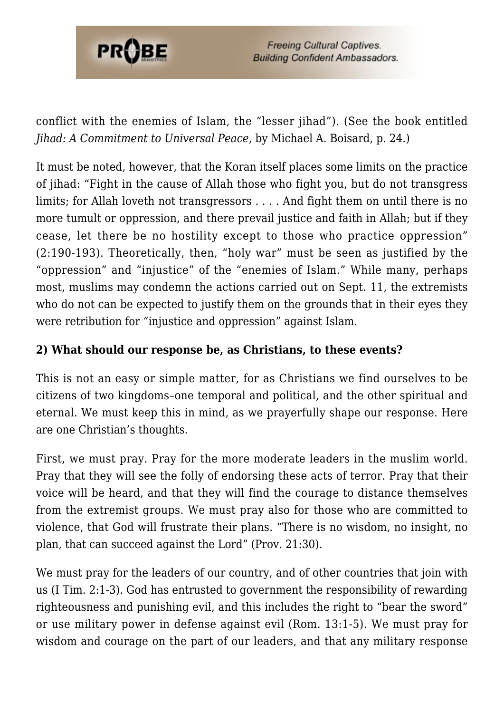

conflict with the enemies of Islam, the "lesser jihad"). (See the book entitled *Jihad: A Commitment to Universal Peace*, by Michael A. Boisard, p. 24.)

It must be noted, however, that the Koran itself places some limits on the practice of jihad: "Fight in the cause of Allah those who fight you, but do not transgress limits; for Allah loveth not transgressors . . . . And fight them on until there is no more tumult or oppression, and there prevail justice and faith in Allah; but if they cease, let there be no hostility except to those who practice oppression" (2:190-193). Theoretically, then, "holy war" must be seen as justified by the "oppression" and "injustice" of the "enemies of Islam." While many, perhaps most, muslims may condemn the actions carried out on Sept. 11, the extremists who do not can be expected to justify them on the grounds that in their eyes they were retribution for "injustice and oppression" against Islam.

## **2) What should our response be, as Christians, to these events?**

This is not an easy or simple matter, for as Christians we find ourselves to be citizens of two kingdoms–one temporal and political, and the other spiritual and eternal. We must keep this in mind, as we prayerfully shape our response. Here are one Christian's thoughts.

First, we must pray. Pray for the more moderate leaders in the muslim world. Pray that they will see the folly of endorsing these acts of terror. Pray that their voice will be heard, and that they will find the courage to distance themselves from the extremist groups. We must pray also for those who are committed to violence, that God will frustrate their plans. "There is no wisdom, no insight, no plan, that can succeed against the Lord" (Prov. 21:30).

We must pray for the leaders of our country, and of other countries that join with us (I Tim. 2:1-3). God has entrusted to government the responsibility of rewarding righteousness and punishing evil, and this includes the right to "bear the sword" or use military power in defense against evil (Rom. 13:1-5). We must pray for wisdom and courage on the part of our leaders, and that any military response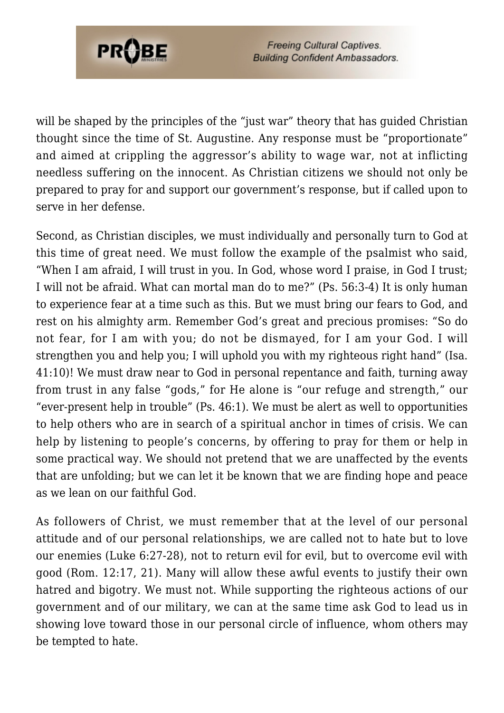

**Freeing Cultural Captives. Building Confident Ambassadors.** 

will be shaped by the principles of the "just war" theory that has quided Christian thought since the time of St. Augustine. Any response must be "proportionate" and aimed at crippling the aggressor's ability to wage war, not at inflicting needless suffering on the innocent. As Christian citizens we should not only be prepared to pray for and support our government's response, but if called upon to serve in her defense.

Second, as Christian disciples, we must individually and personally turn to God at this time of great need. We must follow the example of the psalmist who said, "When I am afraid, I will trust in you. In God, whose word I praise, in God I trust; I will not be afraid. What can mortal man do to me?" (Ps. 56:3-4) It is only human to experience fear at a time such as this. But we must bring our fears to God, and rest on his almighty arm. Remember God's great and precious promises: "So do not fear, for I am with you; do not be dismayed, for I am your God. I will strengthen you and help you; I will uphold you with my righteous right hand" (Isa. 41:10)! We must draw near to God in personal repentance and faith, turning away from trust in any false "gods," for He alone is "our refuge and strength," our "ever-present help in trouble" (Ps. 46:1). We must be alert as well to opportunities to help others who are in search of a spiritual anchor in times of crisis. We can help by listening to people's concerns, by offering to pray for them or help in some practical way. We should not pretend that we are unaffected by the events that are unfolding; but we can let it be known that we are finding hope and peace as we lean on our faithful God.

As followers of Christ, we must remember that at the level of our personal attitude and of our personal relationships, we are called not to hate but to love our enemies (Luke 6:27-28), not to return evil for evil, but to overcome evil with good (Rom. 12:17, 21). Many will allow these awful events to justify their own hatred and bigotry. We must not. While supporting the righteous actions of our government and of our military, we can at the same time ask God to lead us in showing love toward those in our personal circle of influence, whom others may be tempted to hate.